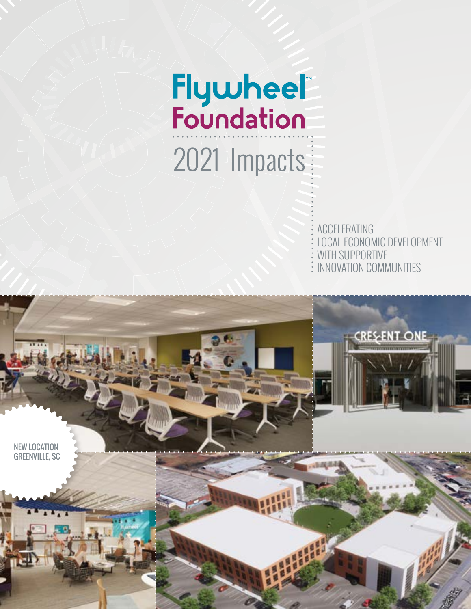# Flywheel"<br>Foundation 2021 Impacts

ACCELERATING LOCAL ECONOMIC DEVELOPMENT WITH SUPPORTIVE **: INNOVATION COMMUNITIES** 

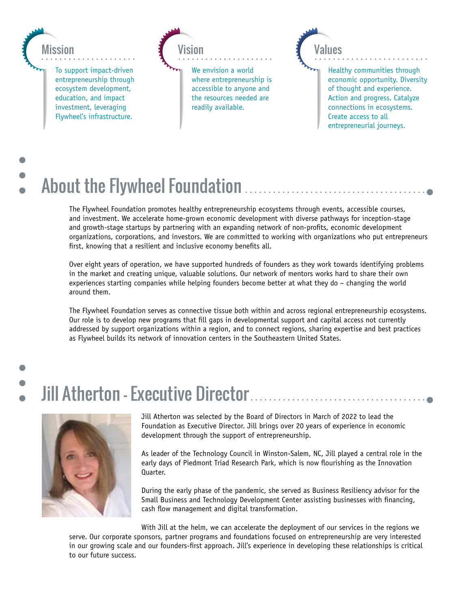

### $\blacksquare$ About the Flywheel Foundation

The Flywheel Foundation promotes healthy entrepreneurship ecosystems through events, accessible courses, and investment. We accelerate home-grown economic development with diverse pathways for inception-stage and growth-stage startups by partnering with an expanding network of non-profits, economic development organizations, corporations, and investors. We are committed to working with organizations who put entrepreneurs first, knowing that a resilient and inclusive economy benefits all.

Over eight years of operation, we have supported hundreds of founders as they work towards identifying problems in the market and creating unique, valuable solutions. Our network of mentors works hard to share their own experiences starting companies while helping founders become better at what they do – changing the world around them.

The Flywheel Foundation serves as connective tissue both within and across regional entrepreneurship ecosystems. Our role is to develop new programs that fill gaps in developmental support and capital access not currently addressed by support organizations within a region, and to connect regions, sharing expertise and best practices as Flywheel builds its network of innovation centers in the Southeastern United States.

### Jill Atherton – Executive Director



Jill Atherton was selected by the Board of Directors in March of 2022 to lead the Foundation as Executive Director. Jill brings over 20 years of experience in economic development through the support of entrepreneurship.

As leader of the Technology Council in Winston-Salem, NC, Jill played a central role in the early days of Piedmont Triad Research Park, which is now flourishing as the Innovation Quarter.

During the early phase of the pandemic, she served as Business Resiliency advisor for the Small Business and Technology Development Center assisting businesses with financing, cash flow management and digital transformation.

With Jill at the helm, we can accelerate the deployment of our services in the regions we serve. Our corporate sponsors, partner programs and foundations focused on entrepreneurship are very interested in our growing scale and our founders-first approach. Jill's experience in developing these relationships is critical to our future success.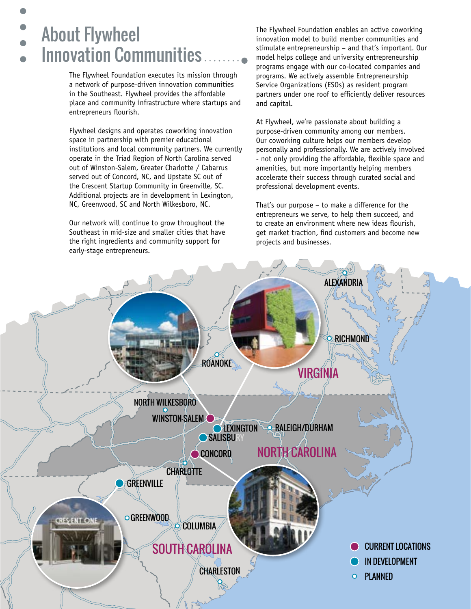### About Flywheel Innovation Communities

The Flywheel Foundation executes its mission through a network of purpose-driven innovation communities in the Southeast. Flywheel provides the affordable place and community infrastructure where startups and entrepreneurs flourish.

Flywheel designs and operates coworking innovation space in partnership with premier educational institutions and local community partners. We currently operate in the Triad Region of North Carolina served out of Winston-Salem, Greater Charlotte / Cabarrus served out of Concord, NC, and Upstate SC out of the Crescent Startup Community in Greenville, SC. Additional projects are in development in Lexington, NC, Greenwood, SC and North Wilkesboro, NC.

Our network will continue to grow throughout the Southeast in mid-size and smaller cities that have the right ingredients and community support for early-stage entrepreneurs.

The Flywheel Foundation enables an active coworking innovation model to build member communities and stimulate entrepreneurship – and that's important. Our model helps college and university entrepreneurship programs engage with our co-located companies and programs. We actively assemble Entrepreneurship Service Organizations (ESOs) as resident program partners under one roof to efficiently deliver resources and capital.

At Flywheel, we're passionate about building a purpose-driven community among our members. Our coworking culture helps our members develop personally and professionally. We are actively involved - not only providing the affordable, flexible space and amenities, but more importantly helping members accelerate their success through curated social and professional development events.

That's our purpose – to make a difference for the entrepreneurs we serve, to help them succeed, and to create an environment where new ideas flourish, get market traction, find customers and become new projects and businesses.

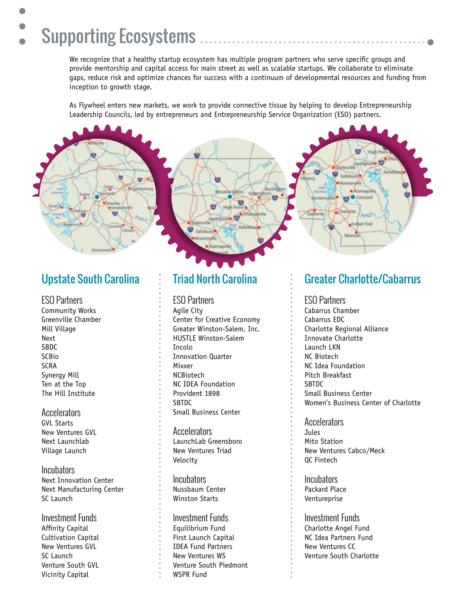### Supporting Ecosystems

We recognize that a healthy startup ecosystem has multiple program partners who serve specific groups and provide mentorship and capital access for main street as well as scalable startups. We collaborate to eliminate gaps, reduce risk and optimize chances for success with a continuum of developmental resources and funding from inception to growth stage.

As Flywheel enters new markets, we work to provide connective tissue by helping to develop Entrepreneurship Leadership Councils, led by entrepreneurs and Entrepreneurship Service Organization (ESO) partners.



### Upstate South Carolina

ESO Partners Community Works Greenville Chamber Mill Village Next SBDC SCBio SCRA Synergy Mill Ten at the Top The Hill Institute

Accelerators GVL Starts New Ventures GVL Next Launchlab Village Launch

**Incubators** Next Innovation Center Next Manufacturing Center SC Launch

Investment Funds Affinity Capital Cultivation Capital New Ventures GVL SC Launch Venture South GVL Vicinity Capital

### Triad North Carolina

ESO Partners

Agile City Center for Creative Economy Greater Winston-Salem, Inc. HUSTLE Winston-Salem Incolo Innovation Quarter Mixxer NCBiotech NC IDEA Foundation Provident 1898 SBTDC Small Business Center

Accelerators LaunchLab Greensboro New Ventures Triad Velocity

Incubators Nussbaum Center Winston Starts

Investment Funds Equilibrium Fund First Launch Capital IDEA Fund Partners New Ventures WS Venture South Piedmont WSPR Fund

#### Greater Charlotte/Cabarrus

ESO Partners

Cabarrus Chamber Cabarrus EDC Charlotte Regional Alliance Innovate Charlotte Launch LKN NC Biotech NC Idea Foundation Pitch Breakfast **SBTDC** Small Business Center Women's Business Center of Charlotte

Accelerators **Jules** Mito Station New Ventures Cabco/Meck QC Fintech

**Incubators** Packard Place Ventureprise

Investment Funds Charlotte Angel Fund NC Idea Partners Fund New Ventures CC Venture South Charlotte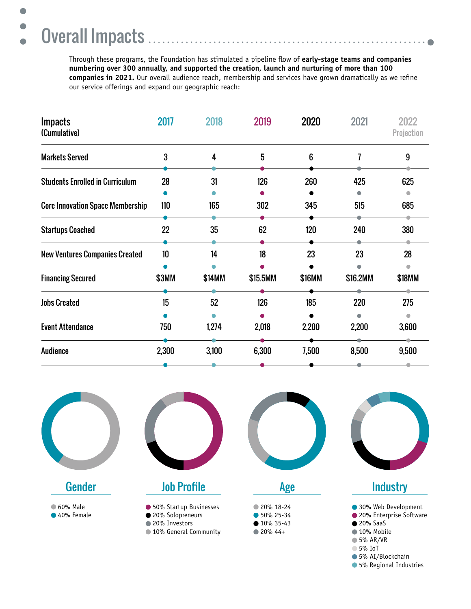### Overall Impacts

 $\bullet$ 

 $\bullet$ 

 $\bullet$ 

Through these programs, the Foundation has stimulated a pipeline flow of **early-stage teams and companies numbering over 300 annually, and supported the creation, launch and nurturing of more than 100 companies in 2021.** Our overall audience reach, membership and services have grown dramatically as we refine our service offerings and expand our geographic reach:

. . . . . . . . . .

 $\bullet$ 

| <b>Impacts</b><br>(Cumulative)          | 2017         | 2018   | 2019     | 2020   | 2021     | 2022<br>Projection |
|-----------------------------------------|--------------|--------|----------|--------|----------|--------------------|
| <b>Markets Served</b>                   | 3            | 4      | 5        | 6      | 7        | 9                  |
| <b>Students Enrolled in Curriculum</b>  | 28           | 31     | 126      | 260    | 425      | 625                |
| <b>Core Innovation Space Membership</b> | 110          | 165    | 302      | 345    | 515      | 685                |
| <b>Startups Coached</b>                 | 22           | 35     | 62       | 120    | 240      | 380                |
| <b>New Ventures Companies Created</b>   | 10           | 14     | 18       | 23     | 23       | 28                 |
| <b>Financing Secured</b>                | <b>\$3MM</b> | \$14MM | \$15.5MM | \$16MM | \$16.2MM | \$18MM             |
| <b>Jobs Created</b>                     | 15           | 52     | 126      | 185    | 220      | 275                |
| <b>Event Attendance</b>                 | 750          | 1,274  | 2,018    | 2,200  | 2,200    | 3,600              |
| <b>Audience</b>                         | 2,300        | 3,100  | 6,300    | 7,500  | 8,500    | 9,500              |



**6** 5% Regional Industries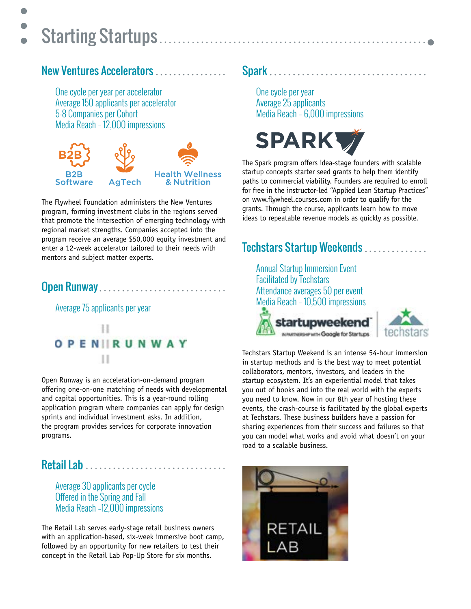## Starting Startups

 $\bullet$ 

### New Ventures Accelerators

One cycle per year per accelerator Average 150 applicants per accelerator 5-8 Companies per Cohort Media Reach – 12,000 impressions



The Flywheel Foundation administers the New Ventures program, forming investment clubs in the regions served that promote the intersection of emerging technology with regional market strengths. Companies accepted into the program receive an average \$50,000 equity investment and enter a 12-week accelerator tailored to their needs with mentors and subject matter experts.

### Open Runway..............................

Average 75 applicants per year



Open Runway is an acceleration-on-demand program offering one-on-one matching of needs with developmental and capital opportunities. This is a year-round rolling application program where companies can apply for design sprints and individual investment asks. In addition, the program provides services for corporate innovation programs.

### Retail Lab .................................

Average 30 applicants per cycle Offered in the Spring and Fall Media Reach –12,000 impressions

The Retail Lab serves early-stage retail business owners with an application-based, six-week immersive boot camp, followed by an opportunity for new retailers to test their concept in the Retail Lab Pop-Up Store for six months.

### Spark

One cycle per year Average 25 applicants Media Reach – 6,000 impressions



The Spark program offers idea-stage founders with scalable startup concepts starter seed grants to help them identify paths to commercial viability. Founders are required to enroll for free in the instructor-led "Applied Lean Startup Practices" on www.flywheel.courses.com in order to qualify for the grants. Through the course, applicants learn how to move ideas to repeatable revenue models as quickly as possible.

### Techstars Startup Weekends..............

Annual Startup Immersion Event Facilitated by Techstars Attendance averages 50 per event Media Reach – 10,500 impressions startupweekend IN MARTNERSHIP MITH Google for Startups



Techstars Startup Weekend is an intense 54-hour immersion in startup methods and is the best way to meet potential collaborators, mentors, investors, and leaders in the startup ecosystem. It's an experiential model that takes you out of books and into the real world with the experts you need to know. Now in our 8th year of hosting these events, the crash-course is facilitated by the global experts at Techstars. These business builders have a passion for sharing experiences from their success and failures so that you can model what works and avoid what doesn't on your road to a scalable business.

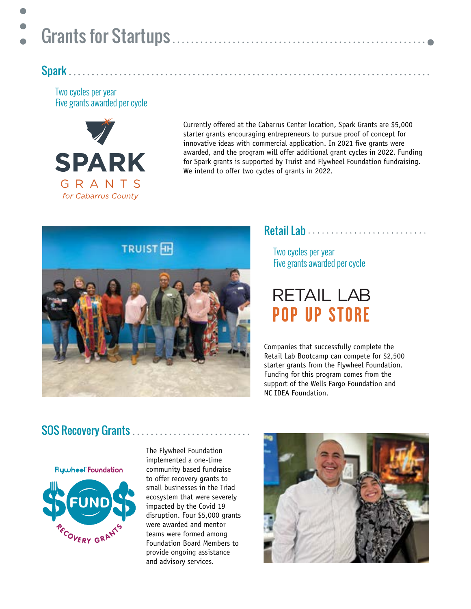### Spark

Two cycles per year Five grants awarded per cycle



Currently offered at the Cabarrus Center location, Spark Grants are \$5,000 starter grants encouraging entrepreneurs to pursue proof of concept for innovative ideas with commercial application. In 2021 five grants were awarded, and the program will offer additional grant cycles in 2022. Funding for Spark grants is supported by Truist and Flywheel Foundation fundraising. We intend to offer two cycles of grants in 2022.



#### Retail Lab ............................

Two cycles per year Five grants awarded per cycle

### **RETAIL LAB POP UP STORE**

Companies that successfully complete the Retail Lab Bootcamp can compete for \$2,500 starter grants from the Flywheel Foundation. Funding for this program comes from the support of the Wells Fargo Foundation and NC IDEA Foundation.

### SOS Recovery Grants ...............

Flywheel Foundation



The Flywheel Foundation implemented a one-time community based fundraise to offer recovery grants to small businesses in the Triad ecosystem that were severely impacted by the Covid 19 disruption. Four \$5,000 grants were awarded and mentor teams were formed among Foundation Board Members to provide ongoing assistance and advisory services.

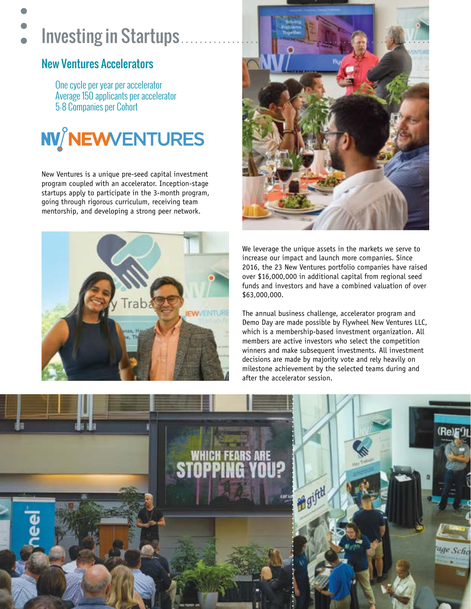### Investing in Startups

### New Ventures Accelerators

One cycle per year per accelerator Average 150 applicants per accelerator 5-8 Companies per Cohort



New Ventures is a unique pre-seed capital investment program coupled with an accelerator. Inception-stage startups apply to participate in the 3-month program, going through rigorous curriculum, receiving team mentorship, and developing a strong peer network.





We leverage the unique assets in the markets we serve to increase our impact and launch more companies. Since 2016, the 23 New Ventures portfolio companies have raised over \$16,000,000 in additional capital from regional seed funds and investors and have a combined valuation of over \$63,000,000.

The annual business challenge, accelerator program and Demo Day are made possible by Flywheel New Ventures LLC, which is a membership-based investment organization. All members are active investors who select the competition winners and make subsequent investments. All investment decisions are made by majority vote and rely heavily on milestone achievement by the selected teams during and after the accelerator session.

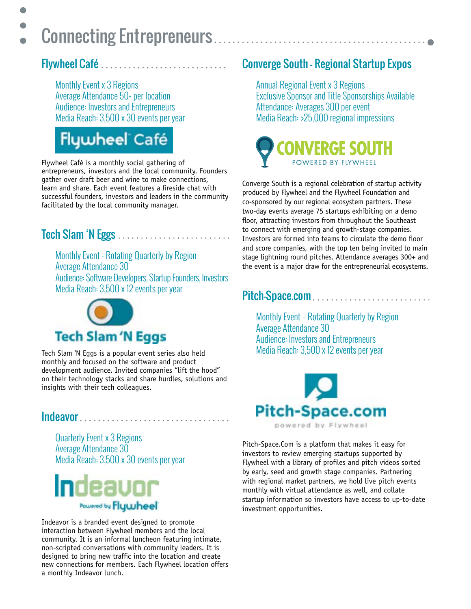### $\bullet$ Connecting Entrepreneurs

### Flywheel Café

 $\bullet$ 

Monthly Event x 3 Regions Average Attendance 50+ per location Audience: Investors and Entrepreneurs Media Reach: 3,500 x 30 events per year

### **Flywheel Café**

Flywheel Café is a monthly social gathering of entrepreneurs, investors and the local community. Founders gather over draft beer and wine to make connections, learn and share. Each event features a fireside chat with successful founders, investors and leaders in the community facilitated by the local community manager.

### Tech Slam 'N Eggs

Monthly Event - Rotating Quarterly by Region Average Attendance 30 Audience: Software Developers, Startup Founders, Investors Media Reach: 3,500 x 12 events per year



Tech Slam 'N Eggs is a popular event series also held monthly and focused on the software and product development audience. Invited companies "lift the hood" on their technology stacks and share hurdles, solutions and insights with their tech colleagues.

#### Indeavor..................................

Quarterly Event x 3 Regions Average Attendance 30 Media Reach: 3,500 x 30 events per year



Indeavor is a branded event designed to promote interaction between Flywheel members and the local community. It is an informal luncheon featuring intimate, non-scripted conversations with community leaders. It is designed to bring new traffic into the location and create new connections for members. Each Flywheel location offers a monthly Indeavor lunch.

### Converge South - Regional Startup Expos

Annual Regional Event x 3 Regions Exclusive Sponsor and Title Sponsorships Available Attendance: Averages 300 per event Media Reach: >25,000 regional impressions



Converge South is a regional celebration of startup activity produced by Flywheel and the Flywheel Foundation and co-sponsored by our regional ecosystem partners. These two-day events average 75 startups exhibiting on a demo floor, attracting investors from throughout the Southeast to connect with emerging and growth-stage companies. Investors are formed into teams to circulate the demo floor and score companies, with the top ten being invited to main stage lightning round pitches. Attendance averages 300+ and the event is a major draw for the entrepreneurial ecosystems.

### Pitch-Space.com............................

Monthly Event – Rotating Quarterly by Region Average Attendance 30 Audience: Investors and Entrepreneurs Media Reach: 3,500 x 12 events per year



Pitch-Space.Com is a platform that makes it easy for investors to review emerging startups supported by Flywheel with a library of profiles and pitch videos sorted by early, seed and growth stage companies. Partnering with regional market partners, we hold live pitch events monthly with virtual attendance as well, and collate startup information so investors have access to up-to-date investment opportunities.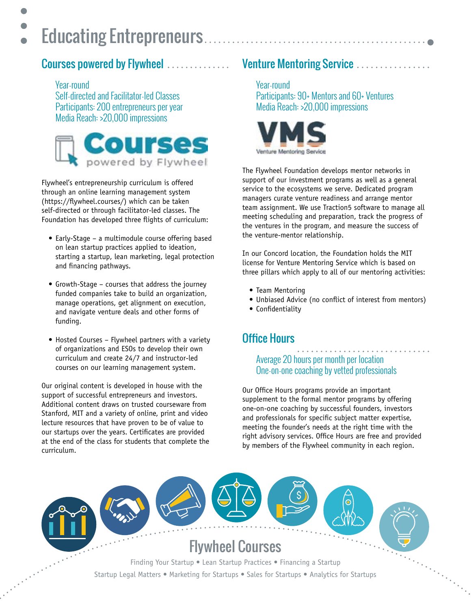### Educating Entrepreneurs..................

#### Courses powered by Flywheel  $\ldots \ldots \ldots \ldots$  Venture Mentoring Service

Year-round Self-directed and Facilitator-led Classes Participants: 200 entrepreneurs per year Media Reach: >20,000 impressions



Flywheel's entrepreneurship curriculum is offered through an online learning management system (https://flywheel.courses/) which can be taken self-directed or through facilitator-led classes. The Foundation has developed three flights of curriculum:

- Early-Stage a multimodule course offering based on lean startup practices applied to ideation, starting a startup, lean marketing, legal protection and financing pathways.
- Growth-Stage courses that address the journey funded companies take to build an organization, manage operations, get alignment on execution, and navigate venture deals and other forms of funding.
- Hosted Courses Flywheel partners with a variety of organizations and ESOs to develop their own curriculum and create 24/7 and instructor-led courses on our learning management system.

Our original content is developed in house with the support of successful entrepreneurs and investors. Additional content draws on trusted courseware from Stanford, MIT and a variety of online, print and video lecture resources that have proven to be of value to our startups over the years. Certificates are provided at the end of the class for students that complete the curriculum.

Year-round Participants: 90+ Mentors and 60+ Ventures Media Reach: >20,000 impressions



The Flywheel Foundation develops mentor networks in support of our investment programs as well as a general service to the ecosystems we serve. Dedicated program managers curate venture readiness and arrange mentor team assignment. We use Traction5 software to manage all meeting scheduling and preparation, track the progress of the ventures in the program, and measure the success of the venture-mentor relationship.

In our Concord location, the Foundation holds the MIT license for Venture Mentoring Service which is based on three pillars which apply to all of our mentoring activities:

- Team Mentoring
- Unbiased Advice (no conflict of interest from mentors)
- Confidentiality

### Office Hours

#### Average 20 hours per month per location One-on-one coaching by vetted professionals

Our Office Hours programs provide an important supplement to the formal mentor programs by offering one-on-one coaching by successful founders, investors and professionals for specific subject matter expertise, meeting the founder's needs at the right time with the right advisory services. Office Hours are free and provided by members of the Flywheel community in each region.

Flywheel Courses Finding Your Startup • Lean Startup Practices • Financing a Startup Startup Legal Matters • Marketing for Startups • Sales for Startups • Analytics for Startups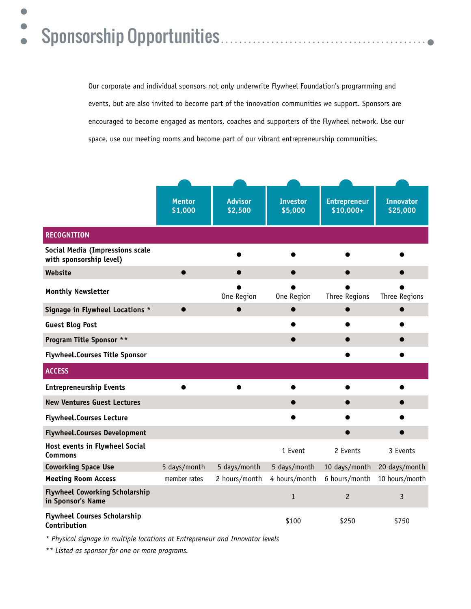#### $\bullet$ Sponsorship Opportunities $\bullet$

 $\bullet$ 

Our corporate and individual sponsors not only underwrite Flywheel Foundation's programming and events, but are also invited to become part of the innovation communities we support. Sponsors are encouraged to become engaged as mentors, coaches and supporters of the Flywheel network. Use our space, use our meeting rooms and become part of our vibrant entrepreneurship communities.

|                                                            | <b>Mentor</b><br>\$1,000 | <b>Advisor</b><br>\$2,500 | <b>Investor</b><br>\$5,000 | <b>Entrepreneur</b><br>$$10,000+$ | <b>Innovator</b><br>\$25,000 |
|------------------------------------------------------------|--------------------------|---------------------------|----------------------------|-----------------------------------|------------------------------|
| <b>RECOGNITION</b>                                         |                          |                           |                            |                                   |                              |
| Social Media (Impressions scale<br>with sponsorship level) |                          |                           |                            |                                   |                              |
| Website                                                    |                          |                           |                            |                                   |                              |
| <b>Monthly Newsletter</b>                                  |                          | One Region                | One Region                 | <b>Three Regions</b>              | Three Regions                |
| Signage in Flywheel Locations *                            |                          |                           |                            |                                   |                              |
| <b>Guest Blog Post</b>                                     |                          |                           |                            |                                   |                              |
| <b>Program Title Sponsor **</b>                            |                          |                           |                            |                                   |                              |
| <b>Flywheel.Courses Title Sponsor</b>                      |                          |                           |                            |                                   |                              |
| <b>ACCESS</b>                                              |                          |                           |                            |                                   |                              |
| <b>Entrepreneurship Events</b>                             |                          |                           |                            |                                   |                              |
| <b>New Ventures Guest Lectures</b>                         |                          |                           |                            |                                   |                              |
| <b>Flywheel.Courses Lecture</b>                            |                          |                           |                            |                                   |                              |
| <b>Flywheel.Courses Development</b>                        |                          |                           |                            |                                   |                              |
| Host events in Flywheel Social<br><b>Commons</b>           |                          |                           | 1 Event                    | 2 Events                          | 3 Events                     |
| <b>Coworking Space Use</b>                                 | 5 days/month             | 5 days/month              | 5 days/month               | 10 days/month                     | 20 days/month                |
| <b>Meeting Room Access</b>                                 | member rates             | 2 hours/month             | 4 hours/month              | 6 hours/month                     | 10 hours/month               |
| <b>Flywheel Coworking Scholarship</b><br>in Sponsor's Name |                          |                           | $\mathbf{1}$               | $\overline{c}$                    | 3                            |
| <b>Flywheel Courses Scholarship</b><br>Contribution        |                          |                           | \$100                      | \$250                             | \$750                        |

*\* Physical signage in multiple locations at Entrepreneur and Innovator levels*

*\*\* Listed as sponsor for one or more programs.*